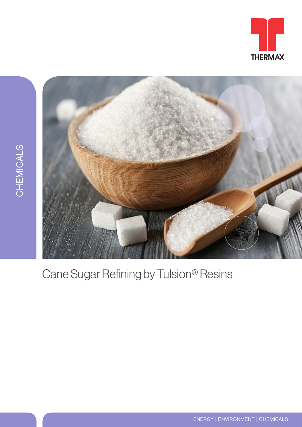





## Cane Sugar Refining by Tulsion® Resins

ENERGY | ENVIRONMENT | CHEMICALS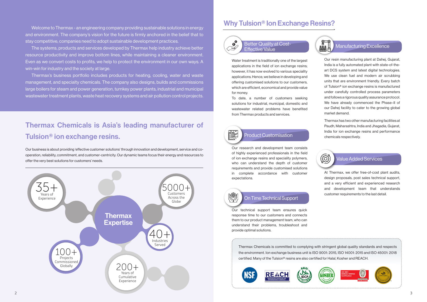## Why Tulsion® Ion Exchange Resins?



囄

**KY** 

Thermax Chemicals is committed to complying with stringent global quality standards and respects the environment. Ion exchange business unit is ISO 9001: 2015, ISO 14001: 2015 and ISO 45001: 2018 certified. Many of the Tulsion® resins are also certified for Halal, Kosher and REACH.







### Value Added Services

At Thermax, we offer free-of-cost plant audits, design proposals, post sales technical support, and a very efficient and experienced research and development team that understands customer requirements to the last detail.







Thermax has two other manufacturing facilities at Paudh, Maharashtra, India and Jhagadia, Gujarat, India for ion exchange resins and performance Product Customisation chemicals respectively.



#### Manufacturing Excellence

Our resin manufacturing plant at Dahej, Gujarat, India is a fully automated plant with state-of-theart DCS system and latest digital technologies. We use clean fuel and modern air scrubbing units that are environment friendly. Every batch of Tulsion® ion exchange resins is manufactured under carefully controlled process parameters and follows a rigorous quality assurance protocol. We have already commenced the Phase–II of our Dahej facility to cater to the growing global market demand.

Our research and development team consists of highly experienced professionals in the field of ion exchange resins and speciality polymers, who can understand the depth of customer requirements and provide customised solutions in complete accordance with customer expectations.

### On Time Technical Support

Our technical support team ensures quick response time to our customers and connects them to our product management team, who can understand their problems, troubleshoot and provide optimal solutions.

Better Quality at Cost-Effective Value





Water treatment is traditionally one of the largest applications in the field of ion exchange resins; however, it has now evolved to various speciality applications. Hence, we believe in developing and offering customised solutions to our customers, which are efficient, economical and provide value for money.

To date, a number of customers seeking solutions for industrial, municipal, domestic and wastewater related problems have benefited from Thermax products and services.

## Thermax Chemicals is Asia's leading manufacturer of Tulsion® ion exchange resins.

Our business is about providing 'effective customer solutions' through innovation and development, service and cooperation, reliability, commitment, and customer-centricity. Our dynamic teams focus their energy and resources to offer the very best solutions for customers' needs.

Welcome to Thermax - an engineering company providing sustainable solutions in energy and environment. The company's vision for the future is firmly anchored in the belief that to stay competitive, companies need to adopt sustainable development practices.

The systems, products and services developed by Thermax help industry achieve better resource productivity and improve bottom lines, while maintaining a cleaner environment. Even as we convert costs to profits, we help to protect the environment in our own ways. A win-win for industry and the society at large.

Thermax's business portfolio includes products for heating, cooling, water and waste management, and specialty chemicals. The company also designs, builds and commissions large boilers for steam and power generation, turnkey power plants, industrial and municipal wastewater treatment plants, waste heat recovery systems and air pollution control projects.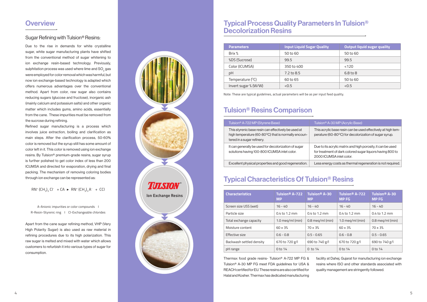Due to the rise in demands for white crystalline sugar, white sugar manufacturing plants have shifted from the conventional method of sugar whitening to ion exchange resin-based technology. Previously, sulphitation process was used where lime and SO<sub>2</sub> gas were employed for color removal which was harmful, but now ion exchange-based technology is adapted which offers numerous advantages over the conventional method. Apart from color, raw sugar also contains reducing sugars (glucose and fructose), inorganic ash (mainly calcium and potassium salts) and other organic matter which includes gums, amino acids, essentially from the cane. These impurities must be removed from the sucrose during refining.

Refined sugar manufacturing is a process which involves juice extraction, boiling and clarification as main steps. After the clarification process, 50-60% color is removed but the syrup still has some amount of color left in it. This color is removed using ion exchange resins. By Tulsion® premium-grade resins, sugar syrup is further polished to get color index of less than 200 ICUMSA and directed for evaporation, drying and final packing. The mechanism of removing coloring bodies through ion exchange can be represented as:

 $RN^{+} (CH_3)_3 Cl^{-} + CA \rightarrow RN^{+} (CH_3)_3 A^{-} + CCl$ 

A-Anionic impurities or color compounds I R-Resin-Styrenic ring I Cl-Exchangeable chlorides

Apart from the cane sugar refining method, VHP (Very High Polarity Sugar) is also used as raw material in refining procedures due to its high polarization. This raw sugar is melted and mixed with water which allows customers to refurbish it into various types of sugar for consumption.

## **Overview**

#### Sugar Refining with Tulsion® Resins:



## Typical Process Quality Parameters In Tulsion® Decolorization Resins

| <b>Parameters</b>         | <b>Input Liquid Sugar Quality</b> | <b>Output liquid sugar quality</b> |  |
|---------------------------|-----------------------------------|------------------------------------|--|
| Brix %                    | 50 to 60                          | 50 to 60                           |  |
| %DS (Sucrose)             | 99.5                              | 99.5                               |  |
| Color (ICUMSA)            | 350 to 400                        | < 120                              |  |
| pH                        | 7.2 to 8.5                        | 6.8 to 8                           |  |
| Temperature $(^{\circ}C)$ | 60 to 65                          | 50 to 60                           |  |
| Invert sugar % (W/W)      | < 0.5                             | < 0.5                              |  |

Note: These are typical guidelines, actual parameters will be as per input feed quality.

| Tulsion <sup>®</sup> A-722 MP (Styrene Base)                                                                                             | Tulsio                    |
|------------------------------------------------------------------------------------------------------------------------------------------|---------------------------|
| This styrenic base resin can effectively be used at<br>high temperature (60-80°C) that is normally encoun-<br>tered in a sugar refinery. | <b>This</b> a<br>peratu   |
| It can generally be used for decolorization of sugar<br>solutions having 100-800 ICUMSA inlet color.                                     | Due to<br>for tre<br>2000 |
| Excellent physical properties and good regeneration.                                                                                     | Less e                    |

## Tulsion® Resins Comparison

Thermax food grade resins- Tulsion® A-722 MP FG & Tulsion® A-30 MP FG meet FDA guidelines for USA & REACH certified for EU. These resins are also certified for Halal and Kosher. Thermax has dedicated manufacturing

#### n® A-30 MP (Acrylic Base)

crylic base resin can be used effectively at high tem- $\mu$ re (60-80 $^{\circ}$ C) for decolorization of sugar syrup.

o its acrylic matrix and high porosity, it can be used atment of dark colored sugar liquors having 800 to ICUMSA inlet color.

energy costs as thermal regeneration is not required.

facility at Dahej, Gujarat for manufacturing ion exchange resins where ISO and other standards associated with quality management are stringently followed.

| <b>Characteristics</b>   | Tulsion <sup>®</sup> A-722<br><b>MP</b> | Tulsion <sup>®</sup> A-30<br><b>MP</b> | Tulsion <sup>®</sup> A-722<br><b>MPFG</b> | Tulsion <sup>®</sup> A-30<br><b>MPFG</b> |
|--------------------------|-----------------------------------------|----------------------------------------|-------------------------------------------|------------------------------------------|
| Screen size USS (wet)    | $16 - 40$                               | $16 - 40$                              | $16 - 40$                                 | $16 - 40$                                |
| Particle size            | $0.4$ to 1.2 mm                         | $0.4$ to 1.2 mm                        | $0.4$ to 1.2 mm                           | $0.4$ to 1.2 mm                          |
| Total exchange capacity  | 1.0 $meq/ml$ (min)                      | $0.8$ meg/ml (min)                     | $1.0$ meg/ml (min)                        | $0.8$ meg/ml (min)                       |
| Moisture content         | $60 \pm 3%$                             | $70 \pm 3\%$                           | $60 \pm 3%$                               | $70 \pm 3\%$                             |
| Effective size           | $0.6 - 0.8$                             | $0.5 - 0.65$                           | $0.6 - 0.8$                               | $0.5 - 0.65$                             |
| Backwash settled density | 670 to 720 g/l                          | 690 to 740 g/l                         | 670 to 720 g/l                            | 690 to 740 g/l                           |
| pH range                 | 0 to 14                                 | $0$ to $14$                            | 0 to 14                                   | $0$ to $14$                              |

## Typical Characteristics Of Tulsion® Resins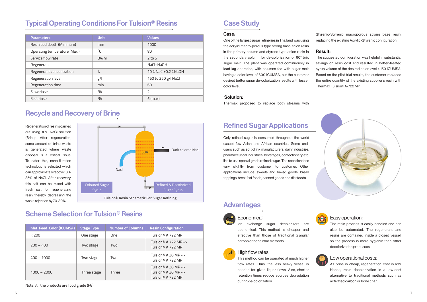| <b>Parameters</b>            | <b>Unit</b>  | <b>Values</b>       |
|------------------------------|--------------|---------------------|
| Resin bed depth (Minimum)    | mm           | 1000                |
| Operating temperature (Max.) | $^{\circ}$ C | 80                  |
| Service flow rate            | BV/hr        | $2$ to 5            |
| Regenerant                   |              | NaCl+NaOH           |
| Regenerant concentration     | $\%$         | 10 % NaCl+0.2 %NaOH |
| Regeneration level           | g/           | 160 to 250 g/l NaCl |
| Regeneration time            | min          | 60                  |
| Slow rinse                   | BV           | $\overline{2}$      |
| Fast rinse                   | <b>BV</b>    | $5$ (max)           |

Regeneration of resin is carried out using 10% NaCl solution (Brine). After regeneration, some amount of brine waste is generated where waste disposal is a critical issue. To cater this, nano-filtration technology is selected which can approximately recover 80- 85% of NaCl. After recovery, this salt can be mixed with fresh salt for regenerating resin thereby decreasing the



## Typical Operating Conditions For Tulsion® Resins

## Recycle and Recovery of Brine

| <b>Inlet Feed Color (ICUMSA)</b> | <b>Stage Type</b> | <b>Number of Columns</b> | <b>Resin Configuration</b>                                                  |
|----------------------------------|-------------------|--------------------------|-----------------------------------------------------------------------------|
| < 200                            | One stage         | One                      | Tulsion® A 722 MP                                                           |
| $200 - 400$                      | Two stage         | Two                      | Tulsion <sup>®</sup> A 722 MP -><br>Tulsion® A 722 MP                       |
| $400 - 1000$                     | Two stage         | Two                      | Tulsion <sup>®</sup> A 30 MP -><br>Tulsion® A 722 MP                        |
| $1000 - 2000$                    | Three stage       | Three                    | Tulsion® A 30 MP -><br>Tulsion <sup>®</sup> A 30 MP -><br>Tulsion® A 722 MP |

Note: All the products are food grade (FG).

## Scheme Selection for Tulsion® Resins

## Case Study

Only refined sugar is consumed throughout the world except few Asian and African countries. Some endusers such as soft-drink manufacturers, dairy industries, pharmaceutical industries, beverages, confectionery etc. like to use special grade refined sugar. The specifications vary slightly from customer to customer. Other applications include: sweets and baked goods, bread toppings, breakfast foods, canned goods and diet foods.

## Refined Sugar Applications

## Economical:

Ion exchange sugar decolorizers are economical. This method is cheaper and effective than those of traditional granular carbon or bone char methods.



#### High flow rates:

This method can be operated at much higher flow rates. Thus, the less heavy vessel is needed for given liquor flows. Also, shorter retention times reduce sucrose degradation during de-colorization.

# ₹

## Advantages

#### Easy operation:

The resin process is easily handled and can also be automated. The regenerant and resins are contained inside a closed vessel, so the process is more hygienic than other decolorization processes.



#### Low operational costs:

As brine is cheap, regeneration cost is low. Hence, resin decolorization is a low-cost alternative to traditional methods such as activated carbon or bone char.



#### Case:

One of the largest sugar refineries in Thailand was using the acrylic macro-porous type strong base anion resin in the primary column and styrene type anion resin in the secondary column for de-colorization of 60° brix sugar melt. The plant was operated continuously in lead-lag operation, with columns fed with sugar melt having a color level of 600 ICUMSA, but the customer desired better sugar de-colorization results with lesser color level.

#### Solution:

Thermax proposed to replace both streams with

Styrenic-Styrenic macroporous strong base resin, replacing the existing Acrylic-Styrenic configuration.

#### Result:

The suggested configuration was helpful in substantial savings on resin cost and resulted in better-treated syrup volume of the desired color level < 150 ICUMSA. Based on the pilot trial results, the customer replaced the entire quantity of the existing supplier's resin with Thermax Tulsion® A-722 MP.